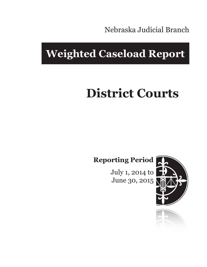Nebraska Judicial Branch

## **Weighted Caseload Report**

# **District Courts**

**Reporting Period**

July 1, 2014 to June 30, 2015



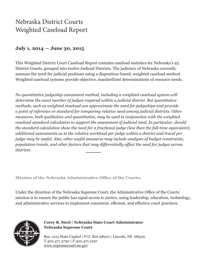## Nebraska District Courts Weighted Caseload Report

#### **July 1, 2014 — June 30, 2015**

This Weighted District Court Caseload Report contains caseload statistics for Nebraska's 93 District Courts, grouped into twelve Judicial Districts. The judiciary of Nebraska currently assesses the need for judicial positions using a disposition-based, weighted caseload method. Weighted caseload systems provide objective, standardized determinations of resource needs.

*No quantitative judgeship assessment method, including a weighted caseload system will determine the exact number of judges required within a judicial district. But quantitative methods, such as weighted caseload can approximate the need for judgeships and provide a point of reference or standard for comparing relative need among judicial districts. Other measures, both qualitative and quantitative, may be used in conjunction with the weighted caseload standard calculation to support the assessment of judicial need. In particular, should the standard calculation show the need for a fractional judge (less than the full-time equivalent), additional assessments as to the relative workload per judge within a district and travel per judge may be useful. Also, other useful measures may include analyses of budget constraints, population trends, and other factors that may differentially affect the need for judges across districts.*

**Mission of the Nebraska Administrative Office of the Courts:**

Under the direction of the Nebraska Supreme Court, the Administrative Office of the Courts' mission is to ensure the public has equal access to justice, using leadership, education, technology, and administrative services to implement consistent, efficient, and effective court practices.



**Corey R. Steel | Nebraska State Court Administrator Nebraska Supreme Court**

Rm. 1213 State Capitol | P.O. Box 98910 | Lincoln, NE 68509 T 402.471.3730 | F 402.471.2197 www.supremecourt.ne.gov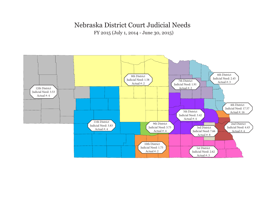## Nebraska District Court Judicial Needs

FY 2015 (July 1, 2014 - June 30, 2015)

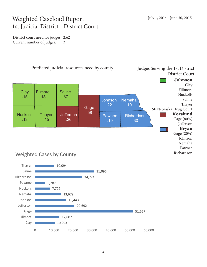## Weighted Caseload Report 1st Judicial District - District Court

District court need for judges: 2.62 Current number of judges: 3



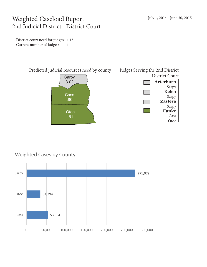## Weighted Caseload Report 2nd Judicial District - District Court

District court need for judges: 4.43 Current number of judges: 4



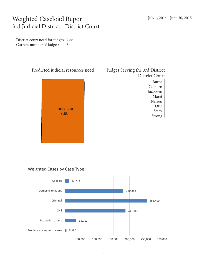## Weighted Caseload Report 3rd Judicial District - District Court

District court need for judges: 7.66 Current number of judges: 8



| Judges Serving the 3rd District |
|---------------------------------|
| District Court                  |
| Burns                           |
| Colborn                         |
| <b>Incohean</b>                 |

Jacobsen Maret Nelson **Otte** Stacy Strong

#### Weighted Cases by Case Type

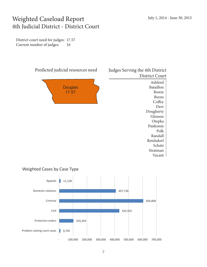### Weighted Caseload Report 4th Judicial District - District Court

District court need for judges: 17.57 Current number of judges: 16



#### Weighted Cases by Case Type

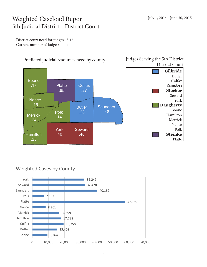## Weighted Caseload Report 5th Judicial District - District Court

District court need for judges: 3.42 Current number of judges: 4



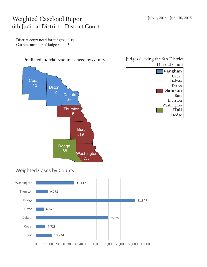### Weighted Caseload Report 6th Judicial District - District Court

District court need for judges: 2.45 Current number of judges: 3



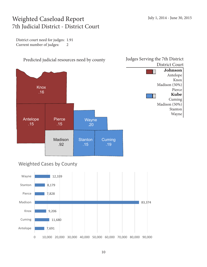## Weighted Caseload Report 7th Judicial District - District Court

District court need for judges: 1.91 Current number of judges: 2

7,691

Antelope



0 10,000 20,000 30,000 40,000 50,000 60,000 70,000 80,000 90,000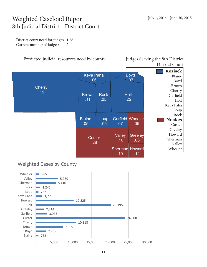## Weighted Caseload Report 8th Judicial District - District Court

District court need for judges: 1.58 Current number of judges: 2

#### Predicted judicial resources need by county Judges Serving the 8th District

District Court



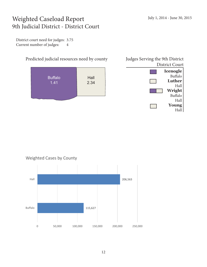## Weighted Caseload Report 9th Judicial District - District Court

District court need for judges: 3.75 Current number of judges: 4



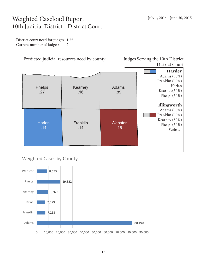## Weighted Caseload Report 10th Judicial District - District Court

District court need for judges: 1.75 Current number of judges: 2

Predicted judicial resources need by county Judges Serving the 10th District

District Court



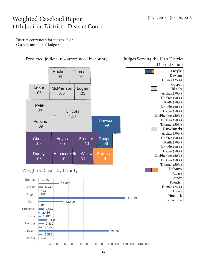#### Weighted Caseload Report 11th Judicial District - District Court

District court need for judges: 3.83 Current number of judges: 4



Predicted judicial resources need by county Judges Serving the 11th District

0 20,000 40,000 60,000 80,000 100,000 120,000 140,000